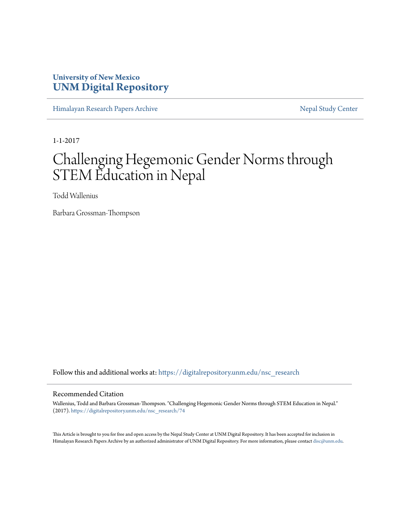# **University of New Mexico [UNM Digital Repository](https://digitalrepository.unm.edu?utm_source=digitalrepository.unm.edu%2Fnsc_research%2F74&utm_medium=PDF&utm_campaign=PDFCoverPages)**

[Himalayan Research Papers Archive](https://digitalrepository.unm.edu/nsc_research?utm_source=digitalrepository.unm.edu%2Fnsc_research%2F74&utm_medium=PDF&utm_campaign=PDFCoverPages) [Nepal Study Center](https://digitalrepository.unm.edu/nepal_study_center?utm_source=digitalrepository.unm.edu%2Fnsc_research%2F74&utm_medium=PDF&utm_campaign=PDFCoverPages)

1-1-2017

# Challenging Hegemonic Gender Norms through STEM Education in Nepal

Todd Wallenius

Barbara Grossman-Thompson

Follow this and additional works at: [https://digitalrepository.unm.edu/nsc\\_research](https://digitalrepository.unm.edu/nsc_research?utm_source=digitalrepository.unm.edu%2Fnsc_research%2F74&utm_medium=PDF&utm_campaign=PDFCoverPages)

#### Recommended Citation

Wallenius, Todd and Barbara Grossman-Thompson. "Challenging Hegemonic Gender Norms through STEM Education in Nepal." (2017). [https://digitalrepository.unm.edu/nsc\\_research/74](https://digitalrepository.unm.edu/nsc_research/74?utm_source=digitalrepository.unm.edu%2Fnsc_research%2F74&utm_medium=PDF&utm_campaign=PDFCoverPages)

This Article is brought to you for free and open access by the Nepal Study Center at UNM Digital Repository. It has been accepted for inclusion in Himalayan Research Papers Archive by an authorized administrator of UNM Digital Repository. For more information, please contact [disc@unm.edu.](mailto:disc@unm.edu)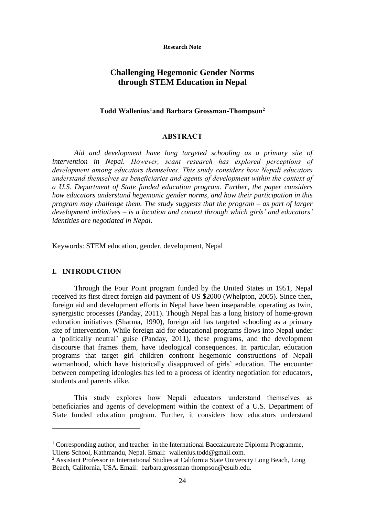**Research Note**

# **Challenging Hegemonic Gender Norms through STEM Education in Nepal**

# **Todd Wallenius<sup>1</sup>and Barbara Grossman-Thompson<sup>2</sup>**

#### **ABSTRACT**

*Aid and development have long targeted schooling as a primary site of intervention in Nepal. However, scant research has explored perceptions of development among educators themselves. This study considers how Nepali educators understand themselves as beneficiaries and agents of development within the context of a U.S. Department of State funded education program. Further, the paper considers how educators understand hegemonic gender norms, and how their participation in this program may challenge them. The study suggests that the program – as part of larger development initiatives – is a location and context through which girls' and educators' identities are negotiated in Nepal.* 

Keywords: STEM education, gender, development, Nepal

# **I. INTRODUCTION**

1

Through the Four Point program funded by the United States in 1951, Nepal received its first direct foreign aid payment of US \$2000 (Whelpton, 2005). Since then, foreign aid and development efforts in Nepal have been inseparable, operating as twin, synergistic processes (Panday, 2011). Though Nepal has a long history of home-grown education initiatives (Sharma, 1990), foreign aid has targeted schooling as a primary site of intervention. While foreign aid for educational programs flows into Nepal under a 'politically neutral' guise (Panday, 2011), these programs, and the development discourse that frames them, have ideological consequences. In particular, education programs that target girl children confront hegemonic constructions of Nepali womanhood, which have historically disapproved of girls' education. The encounter between competing ideologies has led to a process of identity negotiation for educators, students and parents alike.

**This study explores how Nepali educators understand themselves as beneficiaries and agents of development within the context of** a U.S. Department of State funded education program. Further, it considers how educators understand

<sup>&</sup>lt;sup>1</sup> Corresponding author, and teacher in the International Baccalaureate Diploma Programme, Ullens School, Kathmandu, Nepal. Email: wallenius.todd@gmail.com.

<sup>&</sup>lt;sup>2</sup> Assistant Professor in International Studies at California State University Long Beach, Long Beach, California, USA. Email: barbara.grossman-thompson@csulb.edu.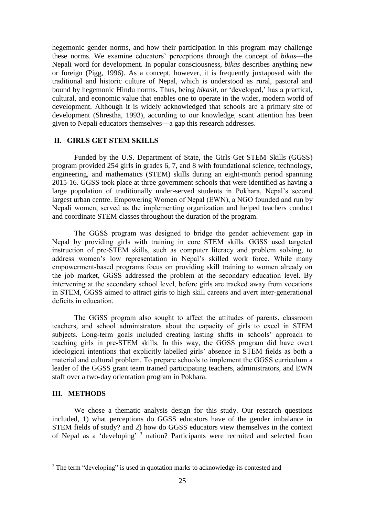hegemonic gender norms, and how their participation in this program may challenge these norms. We examine educators' perceptions through the concept of *bikas*—the Nepali word for development. In popular consciousness, *bikas* describes anything new or foreign (Pigg, 1996). As a concept, however, it is frequently juxtaposed with the traditional and historic culture of Nepal, which is understood as rural, pastoral and bound by hegemonic Hindu norms. Thus, being *bikasit*, or 'developed,' has a practical, cultural, and economic value that enables one to operate in the wider, modern world of development. Although it is widely acknowledged that schools are a primary site of development (Shrestha, 1993), according to our knowledge, scant attention has been given to Nepali educators themselves—a gap this research addresses.

### **II. GIRLS GET STEM SKILLS**

Funded by the U.S. Department of State, the Girls Get STEM Skills (GGSS) program provided 254 girls in grades 6, 7, and 8 with foundational science, technology, engineering, and mathematics (STEM) skills during an eight-month period spanning 2015-16. GGSS took place at three government schools that were identified as having a large population of traditionally under-served students in Pokhara, Nepal's second largest urban centre. **Empowering Women of Nepal (EWN), a NGO founded and run by Nepali women, served as the implementing organization and** helped teachers conduct and coordinate STEM classes throughout the duration of the program.

**The GGSS program was designed to bridge the gender achievement gap in Nepal by providing girls with training in core STEM skills. GGSS used targeted instruction of pre-STEM skills, such as computer literacy and problem solving, to address women's low representation in Nepal's skilled work force. While many empowerment-based programs focus on providing skill training to women already on the job market, GGSS addressed the problem at the secondary education level. By intervening at the secondary school level, before girls are tracked away from vocations in STEM, GGSS aimed to attract girls to high skill careers and avert inter-generational deficits in education.**

**The GGSS program also sought to affect the attitudes of parents, classroom teachers, and school administrators about the capacity of girls to excel in STEM subjects. Long-term goals included creating lasting shifts in schools' approach to teaching girls in pre-STEM skills. In this way, the GGSS program did have overt ideological intentions that explicitly labelled girls' absence in STEM fields as both a material and cultural problem. To prepare schools to implement the GGSS curriculum** a leader of the GGSS grant team trained participating teachers, administrators, and EWN staff over a two-day orientation program in Pokhara.

# **III. METHODS**

1

We chose a thematic analysis design for this study. Our research questions included, 1) what perceptions do GGSS educators have of the gender imbalance in STEM fields of study? and 2) how do GGSS educators view themselves in the context of Nepal as a 'developing' 3 nation? Participants were recruited and selected from

<sup>&</sup>lt;sup>3</sup> The term "developing" is used in quotation marks to acknowledge its contested and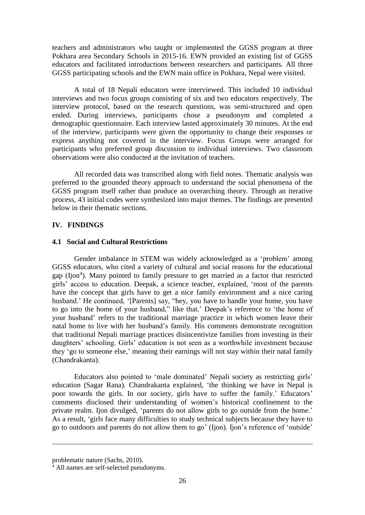teachers and administrators who taught or implemented the GGSS program at three Pokhara area Secondary Schools in 2015-16. EWN provided an existing list of GGSS educators and facilitated introductions between researchers and participants. All three GGSS participating schools and the EWN main office in Pokhara, Nepal were visited.

A total of 18 Nepali educators were interviewed. This included 10 individual interviews and two focus groups consisting of six and two educators respectively. The interview protocol, based on the research questions, was semi-structured and open ended. During interviews, participants chose a pseudonym and completed a demographic questionnaire. Each interview lasted approximately 30 minutes. At the end of the interview, participants were given the opportunity to change their responses or express anything not covered in the interview. Focus Groups were arranged for participants who preferred group discussion to individual interviews. Two classroom observations were also conducted at the invitation of teachers.

All recorded data was transcribed along with field notes. Thematic analysis was preferred to the grounded theory approach to understand the social phenomena of the GGSS program itself rather than produce an overarching theory. Through an iterative process, 43 initial codes were synthesized into major themes. The findings are presented below in their thematic sections.

## **IV. FINDINGS**

### **4.1 Social and Cultural Restrictions**

Gender imbalance in STEM was widely acknowledged as a 'problem' among GGSS educators, who cited a variety of cultural and social reasons for the educational gap (Ijon<sup>4</sup>). Many pointed to family pressure to get married as a factor that restricted girls' access to education. Deepak, a science teacher, explained, 'most of the parents have the concept that girls have to get a nice family environment and a nice caring husband.' He continued, '[Parents] say, "hey, you have to handle your home, you have to go into the home of your husband," like that.' Deepak's reference to 'the home of your husband' refers to the traditional marriage practice in which women leave their natal home to live with her husband's family. His comments demonstrate recognition that traditional Nepali marriage practices disincentivize families from investing in their daughters' schooling. Girls' education is not seen as a worthwhile investment because they 'go to someone else,' meaning their earnings will not stay within their natal family (Chandrakanta).

Educators also pointed to 'male dominated' Nepali society as restricting girls' education (Sagar Rana). Chandrakanta explained, 'the thinking we have in Nepal is poor towards the girls. In our society, girls have to suffer the family.' Educators' comments disclosed their understanding of women's historical confinement to the private realm. Ijon divulged, 'parents do not allow girls to go outside from the home.' As a result, 'girls face many difficulties to study technical subjects because they have to go to outdoors and parents do not allow them to go' (Ijon). Ijon's reference of 'outside'

<u>.</u>

problematic nature (Sachs, 2010).

 $\frac{4}{4}$  All names are self-selected pseudonyms.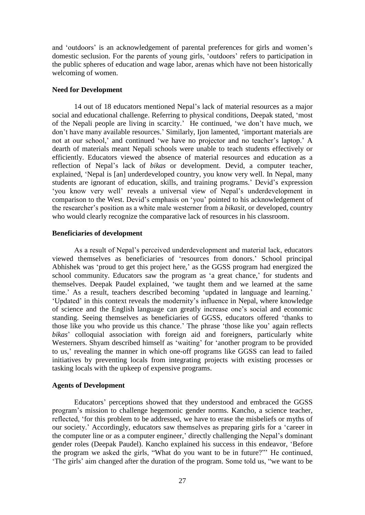and 'outdoors' is an acknowledgement of parental preferences for girls and women's domestic seclusion. For the parents of young girls, 'outdoors' refers to participation in the public spheres of education and wage labor, arenas which have not been historically welcoming of women.

### **Need for Development**

14 out of 18 educators mentioned Nepal's lack of material resources as a major social and educational challenge. Referring to physical conditions, Deepak stated, 'most of the Nepali people are living in scarcity.' He continued, 'we don't have much, we don't have many available resources.' Similarly, Ijon lamented, 'important materials are not at our school,' and continued 'we have no projector and no teacher's laptop.' A dearth of materials meant Nepali schools were unable to teach students effectively or efficiently. Educators viewed the absence of material resources and education as a reflection of Nepal's lack of *bikas* or development. Devid, a computer teacher, explained, 'Nepal is [an] underdeveloped country, you know very well. In Nepal, many students are ignorant of education, skills, and training programs.' Devid's expression 'you know very well' reveals a universal view of Nepal's underdevelopment in comparison to the West. Devid's emphasis on 'you' pointed to his acknowledgement of the researcher's position as a white male westerner from a *bikasit*, or developed, country who would clearly recognize the comparative lack of resources in his classroom.

#### **Beneficiaries of development**

As a result of Nepal's perceived underdevelopment and material lack, educators viewed themselves as beneficiaries of 'resources from donors.' School principal Abhishek was 'proud to get this project here,' as the GGSS program had energized the school community. Educators saw the program as 'a great chance,' for students and themselves. Deepak Paudel explained, 'we taught them and we learned at the same time.' As a result, teachers described becoming 'updated in language and learning.' 'Updated' in this context reveals the modernity's influence in Nepal, where knowledge of science and the English language can greatly increase one's social and economic standing. Seeing themselves as beneficiaries of GGSS, educators offered 'thanks to those like you who provide us this chance.' The phrase 'those like you' again reflects *bikas*' colloquial association with foreign aid and foreigners, particularly white Westerners. Shyam described himself as 'waiting' for 'another program to be provided to us,' revealing the manner in which one-off programs like GGSS can lead to failed initiatives by preventing locals from integrating projects with existing processes or tasking locals with the upkeep of expensive programs.

# **Agents of Development**

Educators' perceptions showed that they understood and embraced the GGSS program's mission to challenge hegemonic gender norms. Kancho, a science teacher, reflected, 'for this problem to be addressed, we have to erase the misbeliefs or myths of our society.' Accordingly, educators saw themselves as preparing girls for a 'career in the computer line or as a computer engineer,' directly challenging the Nepal's dominant gender roles (Deepak Paudel). Kancho explained his success in this endeavor, 'Before the program we asked the girls, "What do you want to be in future?"' He continued, 'The girls' aim changed after the duration of the program. Some told us, "we want to be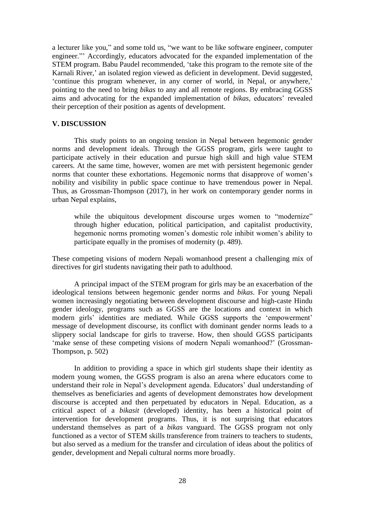a lecturer like you," and some told us, "we want to be like software engineer, computer engineer."' Accordingly, educators advocated for the expanded implementation of the STEM program. Babu Paudel recommended, 'take this program to the remote site of the Karnali River,' an isolated region viewed as deficient in development. Devid suggested, 'continue this program whenever, in any corner of world, in Nepal, or anywhere,' pointing to the need to bring *bikas* to any and all remote regions. By embracing GGSS aims and advocating for the expanded implementation of *bikas*, educators' revealed their perception of their position as agents of development.

# **V. DISCUSSION**

This study points to an ongoing tension in Nepal between hegemonic gender norms and development ideals. Through the GGSS program, girls were taught to participate actively in their education and pursue high skill and high value STEM careers. At the same time, however, women are met with persistent hegemonic gender norms that counter these exhortations. Hegemonic norms that disapprove of women's nobility and visibility in public space continue to have tremendous power in Nepal. Thus, as Grossman-Thompson (2017), in her work on contemporary gender norms in urban Nepal explains,

while the ubiquitous development discourse urges women to "modernize" through higher education, political participation, and capitalist productivity, hegemonic norms promoting women's domestic role inhibit women's ability to participate equally in the promises of modernity (p. 489).

These competing visions of modern Nepali womanhood present a challenging mix of directives for girl students navigating their path to adulthood.

A principal impact of the STEM program for girls may be an exacerbation of the ideological tensions between hegemonic gender norms and *bikas*. For young Nepali women increasingly negotiating between development discourse and high-caste Hindu gender ideology, programs such as GGSS are the locations and context in which modern girls' identities are mediated. While GGSS supports the 'empowerment' message of development discourse, its conflict with dominant gender norms leads to a slippery social landscape for girls to traverse. How, then should GGSS participants 'make sense of these competing visions of modern Nepali womanhood?' (Grossman-Thompson, p. 502)

In addition to providing a space in which girl students shape their identity as modern young women, the GGSS program is also an arena where educators come to understand their role in Nepal's development agenda. Educators' dual understanding of themselves as beneficiaries and agents of development demonstrates how development discourse is accepted and then perpetuated by educators in Nepal. Education, as a critical aspect of a *bikasit* (developed) identity, has been a historical point of intervention for development programs. Thus, it is not surprising that educators understand themselves as part of a *bikas* vanguard. The GGSS program not only functioned as a vector of STEM skills transference from trainers to teachers to students, but also served as a medium for the transfer and circulation of ideas about the politics of gender, development and Nepali cultural norms more broadly.